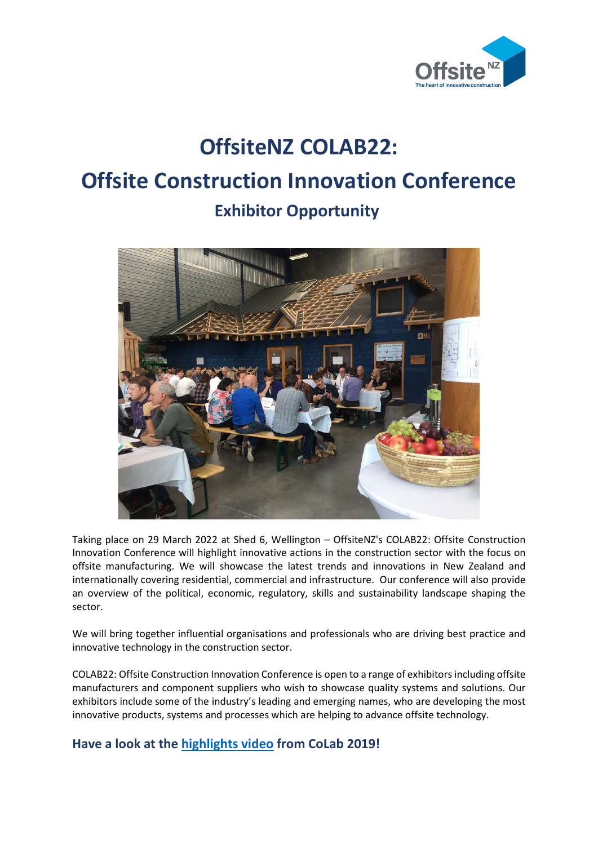

# **OffsiteNZ COLAB22: Offsite Construction Innovation Conference Exhibitor Opportunity**



Taking place on 29 March 2022 at Shed 6, Wellington – OffsiteNZ's COLAB22: Offsite Construction Innovation Conference will highlight innovative actions in the construction sector with the focus on offsite manufacturing. We will showcase the latest trends and innovations in New Zealand and internationally covering residential, commercial and infrastructure. Our conference will also provide an overview of the political, economic, regulatory, skills and sustainability landscape shaping the sector.

We will bring together influential organisations and professionals who are driving best practice and innovative technology in the construction sector.

COLAB22: Offsite Construction Innovation Conference is open to a range of exhibitors including offsite manufacturers and component suppliers who wish to showcase quality systems and solutions. Our exhibitors include some of the industry's leading and emerging names, who are developing the most innovative products, systems and processes which are helping to advance offsite technology.

## **Have a look at the [highlights video](https://www.youtube.com/watch?v=8SLRYlhZp5k) from CoLab 2019!**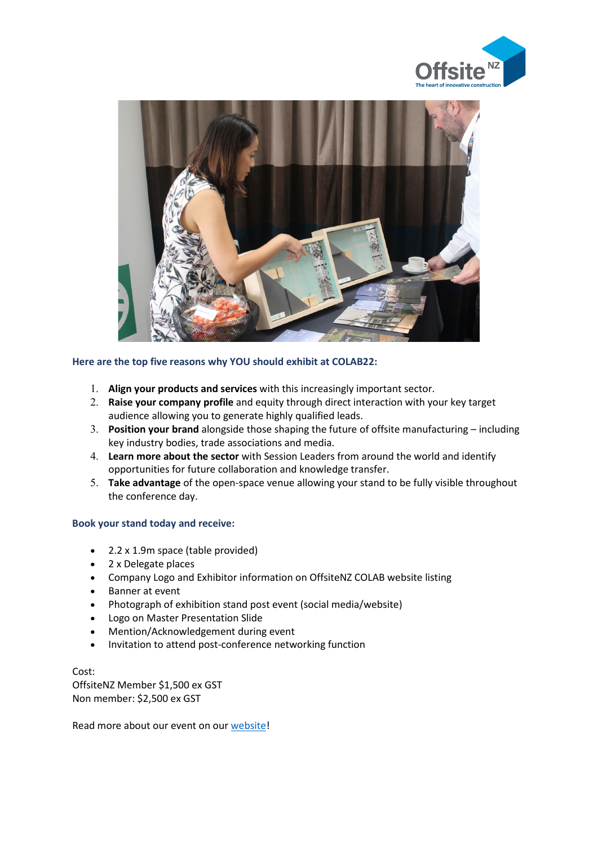



### **Here are the top five reasons why YOU should exhibit at COLAB22:**

- 1. **Align your products and services** with this increasingly important sector.
- 2. **Raise your company profile** and equity through direct interaction with your key target audience allowing you to generate highly qualified leads.
- 3. **Position your brand** alongside those shaping the future of offsite manufacturing including key industry bodies, trade associations and media.
- 4. **Learn more about the sector** with Session Leaders from around the world and identify opportunities for future collaboration and knowledge transfer.
- 5. **Take advantage** of the open-space venue allowing your stand to be fully visible throughout the conference day.

#### **Book your stand today and receive:**

- 2.2 x 1.9m space (table provided)
- 2 x Delegate places
- Company Logo and Exhibitor information on OffsiteNZ COLAB website listing
- Banner at event
- Photograph of exhibition stand post event (social media/website)
- Logo on Master Presentation Slide
- Mention/Acknowledgement during event
- Invitation to attend post-conference networking function

Cost: OffsiteNZ Member \$1,500 ex GST Non member: \$2,500 ex GST

Read more about our event on our [website!](http://www.prefabnz.com/Events/InnovationinActionConference)